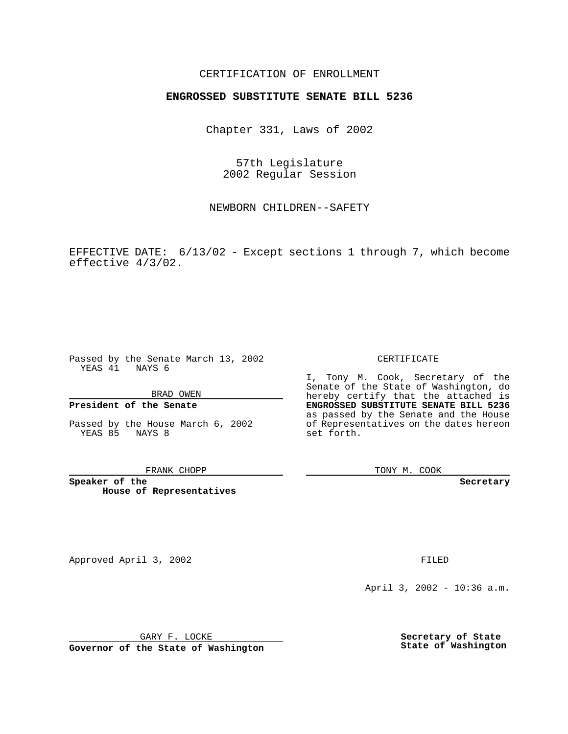## CERTIFICATION OF ENROLLMENT

# **ENGROSSED SUBSTITUTE SENATE BILL 5236**

Chapter 331, Laws of 2002

57th Legislature 2002 Regular Session

NEWBORN CHILDREN--SAFETY

EFFECTIVE DATE: 6/13/02 - Except sections 1 through 7, which become effective 4/3/02.

Passed by the Senate March 13, 2002 YEAS 41 NAYS 6

BRAD OWEN

### **President of the Senate**

Passed by the House March 6, 2002 YEAS 85 NAYS 8

#### FRANK CHOPP

**Speaker of the House of Representatives** CERTIFICATE

I, Tony M. Cook, Secretary of the Senate of the State of Washington, do hereby certify that the attached is **ENGROSSED SUBSTITUTE SENATE BILL 5236** as passed by the Senate and the House of Representatives on the dates hereon set forth.

TONY M. COOK

**Secretary**

Approved April 3, 2002 **FILED** 

April 3, 2002 - 10:36 a.m.

GARY F. LOCKE

**Governor of the State of Washington**

**Secretary of State State of Washington**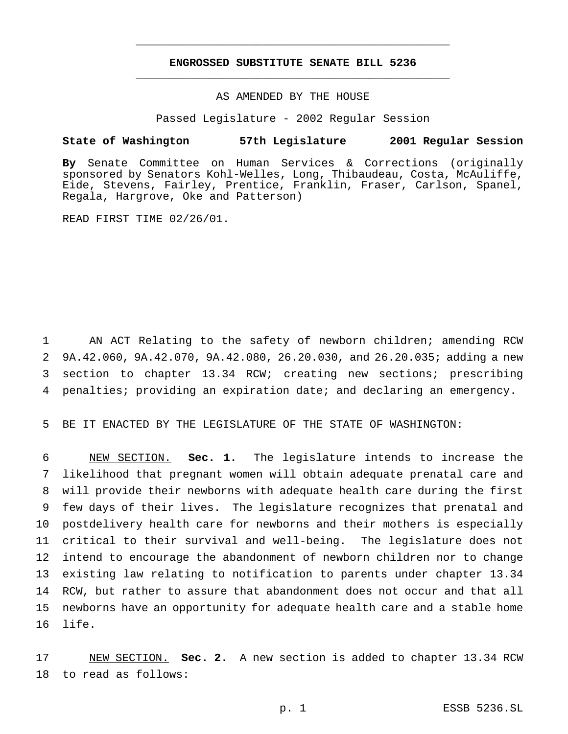## **ENGROSSED SUBSTITUTE SENATE BILL 5236** \_\_\_\_\_\_\_\_\_\_\_\_\_\_\_\_\_\_\_\_\_\_\_\_\_\_\_\_\_\_\_\_\_\_\_\_\_\_\_\_\_\_\_\_\_\_\_

\_\_\_\_\_\_\_\_\_\_\_\_\_\_\_\_\_\_\_\_\_\_\_\_\_\_\_\_\_\_\_\_\_\_\_\_\_\_\_\_\_\_\_\_\_\_\_

### AS AMENDED BY THE HOUSE

Passed Legislature - 2002 Regular Session

### **State of Washington 57th Legislature 2001 Regular Session**

**By** Senate Committee on Human Services & Corrections (originally sponsored by Senators Kohl-Welles, Long, Thibaudeau, Costa, McAuliffe, Eide, Stevens, Fairley, Prentice, Franklin, Fraser, Carlson, Spanel, Regala, Hargrove, Oke and Patterson)

READ FIRST TIME 02/26/01.

 AN ACT Relating to the safety of newborn children; amending RCW 9A.42.060, 9A.42.070, 9A.42.080, 26.20.030, and 26.20.035; adding a new section to chapter 13.34 RCW; creating new sections; prescribing penalties; providing an expiration date; and declaring an emergency.

5 BE IT ENACTED BY THE LEGISLATURE OF THE STATE OF WASHINGTON:

 NEW SECTION. **Sec. 1.** The legislature intends to increase the likelihood that pregnant women will obtain adequate prenatal care and will provide their newborns with adequate health care during the first few days of their lives. The legislature recognizes that prenatal and postdelivery health care for newborns and their mothers is especially critical to their survival and well-being. The legislature does not intend to encourage the abandonment of newborn children nor to change existing law relating to notification to parents under chapter 13.34 RCW, but rather to assure that abandonment does not occur and that all newborns have an opportunity for adequate health care and a stable home 16 life.

17 NEW SECTION. **Sec. 2.** A new section is added to chapter 13.34 RCW 18 to read as follows: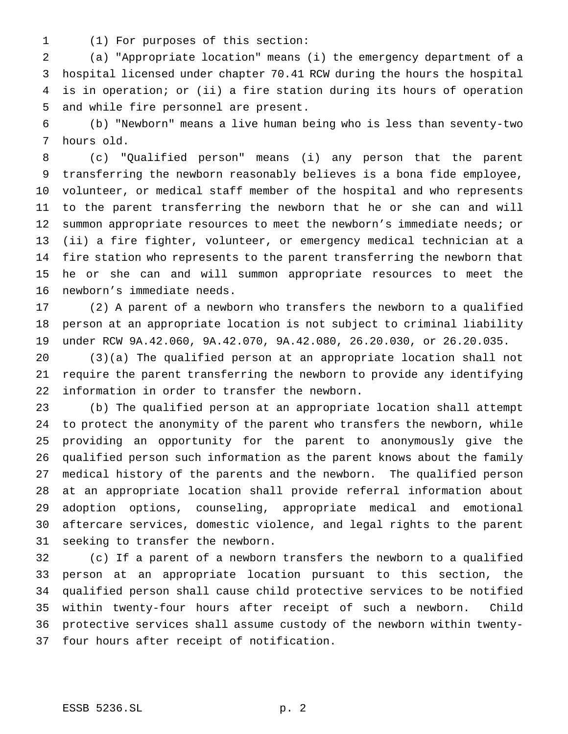(1) For purposes of this section:

 (a) "Appropriate location" means (i) the emergency department of a hospital licensed under chapter 70.41 RCW during the hours the hospital is in operation; or (ii) a fire station during its hours of operation and while fire personnel are present.

 (b) "Newborn" means a live human being who is less than seventy-two hours old.

 (c) "Qualified person" means (i) any person that the parent transferring the newborn reasonably believes is a bona fide employee, volunteer, or medical staff member of the hospital and who represents to the parent transferring the newborn that he or she can and will summon appropriate resources to meet the newborn's immediate needs; or (ii) a fire fighter, volunteer, or emergency medical technician at a fire station who represents to the parent transferring the newborn that he or she can and will summon appropriate resources to meet the newborn's immediate needs.

 (2) A parent of a newborn who transfers the newborn to a qualified person at an appropriate location is not subject to criminal liability under RCW 9A.42.060, 9A.42.070, 9A.42.080, 26.20.030, or 26.20.035.

 (3)(a) The qualified person at an appropriate location shall not require the parent transferring the newborn to provide any identifying information in order to transfer the newborn.

 (b) The qualified person at an appropriate location shall attempt to protect the anonymity of the parent who transfers the newborn, while providing an opportunity for the parent to anonymously give the qualified person such information as the parent knows about the family medical history of the parents and the newborn. The qualified person at an appropriate location shall provide referral information about adoption options, counseling, appropriate medical and emotional aftercare services, domestic violence, and legal rights to the parent seeking to transfer the newborn.

 (c) If a parent of a newborn transfers the newborn to a qualified person at an appropriate location pursuant to this section, the qualified person shall cause child protective services to be notified within twenty-four hours after receipt of such a newborn. Child protective services shall assume custody of the newborn within twenty-four hours after receipt of notification.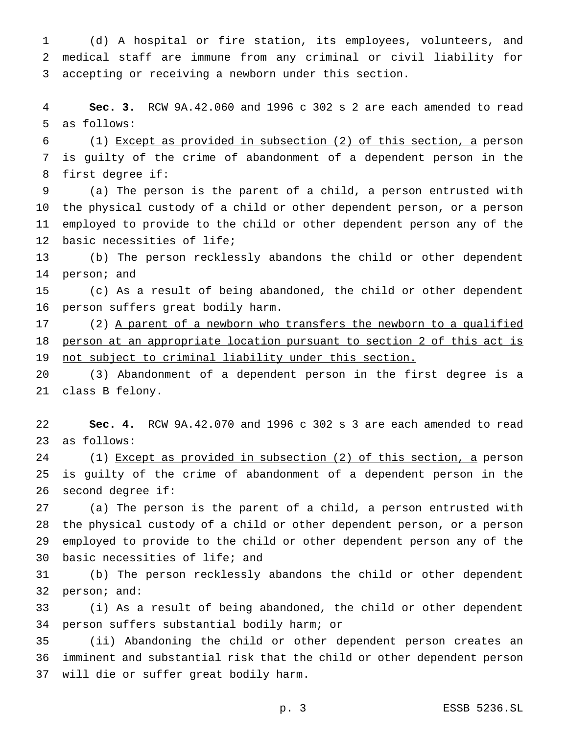(d) A hospital or fire station, its employees, volunteers, and medical staff are immune from any criminal or civil liability for accepting or receiving a newborn under this section.

 **Sec. 3.** RCW 9A.42.060 and 1996 c 302 s 2 are each amended to read as follows:

 (1) Except as provided in subsection (2) of this section, a person is guilty of the crime of abandonment of a dependent person in the first degree if:

 (a) The person is the parent of a child, a person entrusted with the physical custody of a child or other dependent person, or a person employed to provide to the child or other dependent person any of the basic necessities of life;

 (b) The person recklessly abandons the child or other dependent person; and

 (c) As a result of being abandoned, the child or other dependent person suffers great bodily harm.

17 (2) A parent of a newborn who transfers the newborn to a qualified person at an appropriate location pursuant to section 2 of this act is not subject to criminal liability under this section.

 (3) Abandonment of a dependent person in the first degree is a class B felony.

 **Sec. 4.** RCW 9A.42.070 and 1996 c 302 s 3 are each amended to read as follows:

24 (1) Except as provided in subsection (2) of this section, a person is guilty of the crime of abandonment of a dependent person in the second degree if:

 (a) The person is the parent of a child, a person entrusted with the physical custody of a child or other dependent person, or a person employed to provide to the child or other dependent person any of the basic necessities of life; and

 (b) The person recklessly abandons the child or other dependent person; and:

 (i) As a result of being abandoned, the child or other dependent person suffers substantial bodily harm; or

 (ii) Abandoning the child or other dependent person creates an imminent and substantial risk that the child or other dependent person will die or suffer great bodily harm.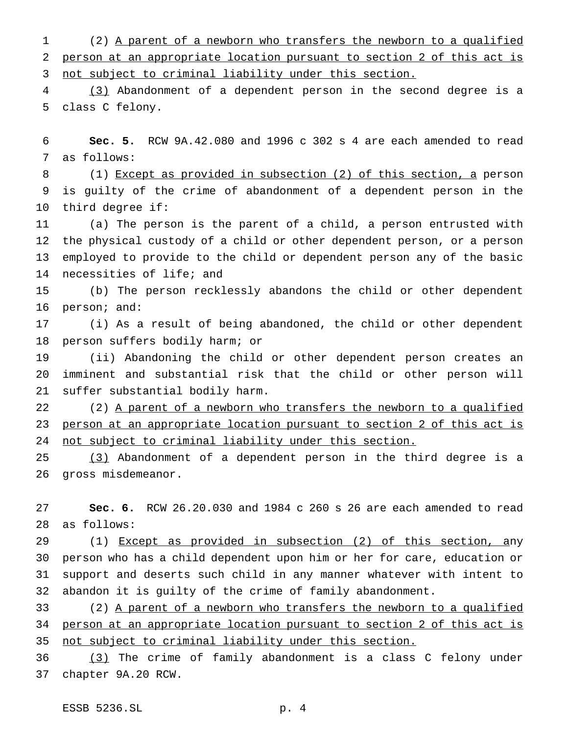(2) A parent of a newborn who transfers the newborn to a qualified person at an appropriate location pursuant to section 2 of this act is not subject to criminal liability under this section.

 (3) Abandonment of a dependent person in the second degree is a class C felony.

 **Sec. 5.** RCW 9A.42.080 and 1996 c 302 s 4 are each amended to read as follows:

 (1) Except as provided in subsection (2) of this section, a person is guilty of the crime of abandonment of a dependent person in the third degree if:

 (a) The person is the parent of a child, a person entrusted with the physical custody of a child or other dependent person, or a person employed to provide to the child or dependent person any of the basic necessities of life; and

 (b) The person recklessly abandons the child or other dependent person; and:

 (i) As a result of being abandoned, the child or other dependent person suffers bodily harm; or

 (ii) Abandoning the child or other dependent person creates an imminent and substantial risk that the child or other person will suffer substantial bodily harm.

22 (2) A parent of a newborn who transfers the newborn to a qualified person at an appropriate location pursuant to section 2 of this act is 24 not subject to criminal liability under this section.

 (3) Abandonment of a dependent person in the third degree is a gross misdemeanor.

 **Sec. 6.** RCW 26.20.030 and 1984 c 260 s 26 are each amended to read as follows:

 (1) Except as provided in subsection (2) of this section, any person who has a child dependent upon him or her for care, education or support and deserts such child in any manner whatever with intent to abandon it is guilty of the crime of family abandonment.

 (2) A parent of a newborn who transfers the newborn to a qualified person at an appropriate location pursuant to section 2 of this act is 35 not subject to criminal liability under this section.

 (3) The crime of family abandonment is a class C felony under chapter 9A.20 RCW.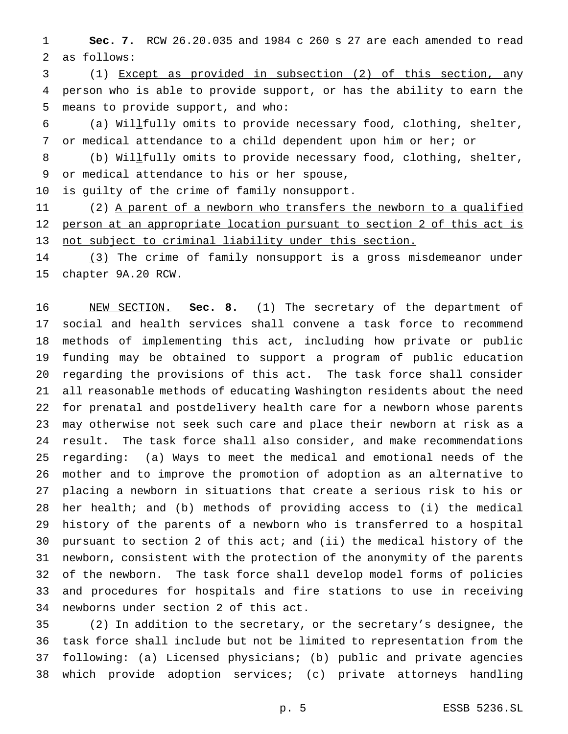**Sec. 7.** RCW 26.20.035 and 1984 c 260 s 27 are each amended to read as follows:

 (1) Except as provided in subsection (2) of this section, any person who is able to provide support, or has the ability to earn the means to provide support, and who:

 (a) Willfully omits to provide necessary food, clothing, shelter, or medical attendance to a child dependent upon him or her; or

8 (b) Willfully omits to provide necessary food, clothing, shelter, or medical attendance to his or her spouse,

is guilty of the crime of family nonsupport.

11 (2) A parent of a newborn who transfers the newborn to a qualified person at an appropriate location pursuant to section 2 of this act is not subject to criminal liability under this section.

14 (3) The crime of family nonsupport is a gross misdemeanor under chapter 9A.20 RCW.

 NEW SECTION. **Sec. 8.** (1) The secretary of the department of social and health services shall convene a task force to recommend methods of implementing this act, including how private or public funding may be obtained to support a program of public education regarding the provisions of this act. The task force shall consider all reasonable methods of educating Washington residents about the need for prenatal and postdelivery health care for a newborn whose parents may otherwise not seek such care and place their newborn at risk as a result. The task force shall also consider, and make recommendations regarding: (a) Ways to meet the medical and emotional needs of the mother and to improve the promotion of adoption as an alternative to placing a newborn in situations that create a serious risk to his or her health; and (b) methods of providing access to (i) the medical history of the parents of a newborn who is transferred to a hospital pursuant to section 2 of this act; and (ii) the medical history of the newborn, consistent with the protection of the anonymity of the parents of the newborn. The task force shall develop model forms of policies and procedures for hospitals and fire stations to use in receiving newborns under section 2 of this act.

 (2) In addition to the secretary, or the secretary's designee, the task force shall include but not be limited to representation from the following: (a) Licensed physicians; (b) public and private agencies which provide adoption services; (c) private attorneys handling